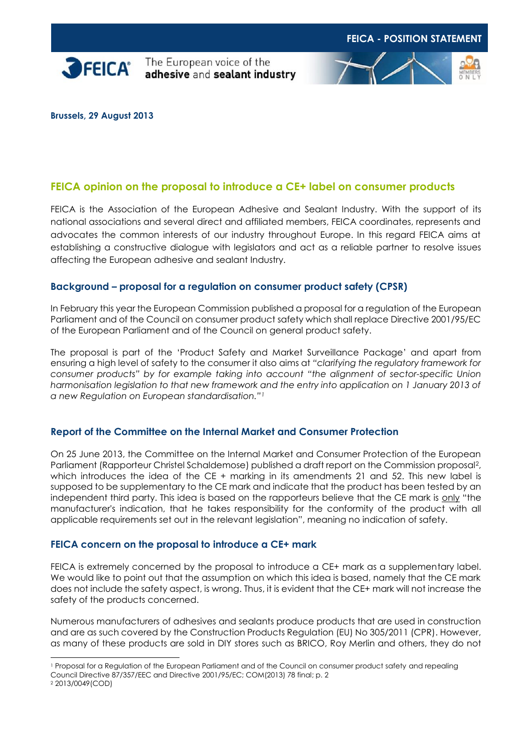



**Brussels, 29 August 2013**

# **FEICA opinion on the proposal to introduce a CE+ label on consumer products**

FEICA is the Association of the European Adhesive and Sealant Industry. With the support of its national associations and several direct and affiliated members, FEICA coordinates, represents and advocates the common interests of our industry throughout Europe. In this regard FEICA aims at establishing a constructive dialogue with legislators and act as a reliable partner to resolve issues affecting the European adhesive and sealant Industry.

#### **Background – proposal for a regulation on consumer product safety (CPSR)**

In February this year the European Commission published a proposal for a regulation of the European Parliament and of the Council on consumer product safety which shall replace Directive 2001/95/EC of the European Parliament and of the Council on general product safety.

The proposal is part of the 'Product Safety and Market Surveillance Package' and apart from ensuring a high level of safety to the consumer it also aims at *"clarifying the regulatory framework for consumer products" by for example taking into account "the alignment of sector-specific Union harmonisation legislation to that new framework and the entry into application on 1 January 2013 of a new Regulation on European standardisation."<sup>1</sup>*

## **Report of the Committee on the Internal Market and Consumer Protection**

On 25 June 2013, the Committee on the Internal Market and Consumer Protection of the European Parliament (Rapporteur Christel Schaldemose) published a draft report on the Commission proposal2, which introduces the idea of the CE + marking in its amendments 21 and 52. This new label is supposed to be supplementary to the CE mark and indicate that the product has been tested by an independent third party. This idea is based on the rapporteurs believe that the CE mark is only "the manufacturer's indication, that he takes responsibility for the conformity of the product with all applicable requirements set out in the relevant legislation", meaning no indication of safety.

#### **FEICA concern on the proposal to introduce a CE+ mark**

FEICA is extremely concerned by the proposal to introduce a CE+ mark as a supplementary label. We would like to point out that the assumption on which this idea is based, namely that the CE mark does not include the safety aspect, is wrong. Thus, it is evident that the CE+ mark will not increase the safety of the products concerned.

Numerous manufacturers of adhesives and sealants produce products that are used in construction and are as such covered by the Construction Products Regulation (EU) No 305/2011 (CPR). However, as many of these products are sold in DIY stores such as BRICO, Roy Merlin and others, they do not

-

<sup>1</sup> Proposal for a Regulation of the European Parliament and of the Council on consumer product safety and repealing Council Directive 87/357/EEC and Directive 2001/95/EC; COM(2013) 78 final; p. 2

<sup>2</sup> 2013/0049(COD)